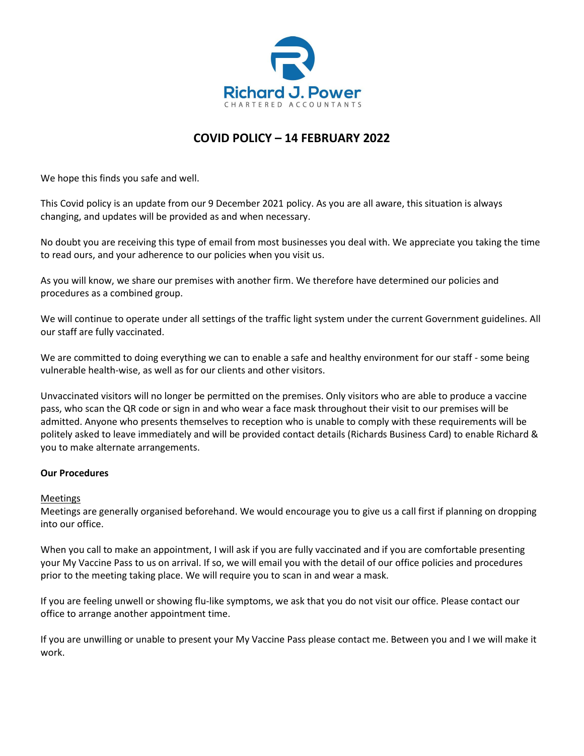

## **COVID POLICY – 14 FEBRUARY 2022**

We hope this finds you safe and well.

This Covid policy is an update from our 9 December 2021 policy. As you are all aware, this situation is always changing, and updates will be provided as and when necessary.

No doubt you are receiving this type of email from most businesses you deal with. We appreciate you taking the time to read ours, and your adherence to our policies when you visit us.

As you will know, we share our premises with another firm. We therefore have determined our policies and procedures as a combined group.

We will continue to operate under all settings of the traffic light system under the current Government guidelines. All our staff are fully vaccinated.

We are committed to doing everything we can to enable a safe and healthy environment for our staff - some being vulnerable health-wise, as well as for our clients and other visitors.

Unvaccinated visitors will no longer be permitted on the premises. Only visitors who are able to produce a vaccine pass, who scan the QR code or sign in and who wear a face mask throughout their visit to our premises will be admitted. Anyone who presents themselves to reception who is unable to comply with these requirements will be politely asked to leave immediately and will be provided contact details (Richards Business Card) to enable Richard & you to make alternate arrangements.

## **Our Procedures**

## Meetings

Meetings are generally organised beforehand. We would encourage you to give us a call first if planning on dropping into our office.

When you call to make an appointment, I will ask if you are fully vaccinated and if you are comfortable presenting your My Vaccine Pass to us on arrival. If so, we will email you with the detail of our office policies and procedures prior to the meeting taking place. We will require you to scan in and wear a mask.

If you are feeling unwell or showing flu-like symptoms, we ask that you do not visit our office. Please contact our office to arrange another appointment time.

If you are unwilling or unable to present your My Vaccine Pass please contact me. Between you and I we will make it work.